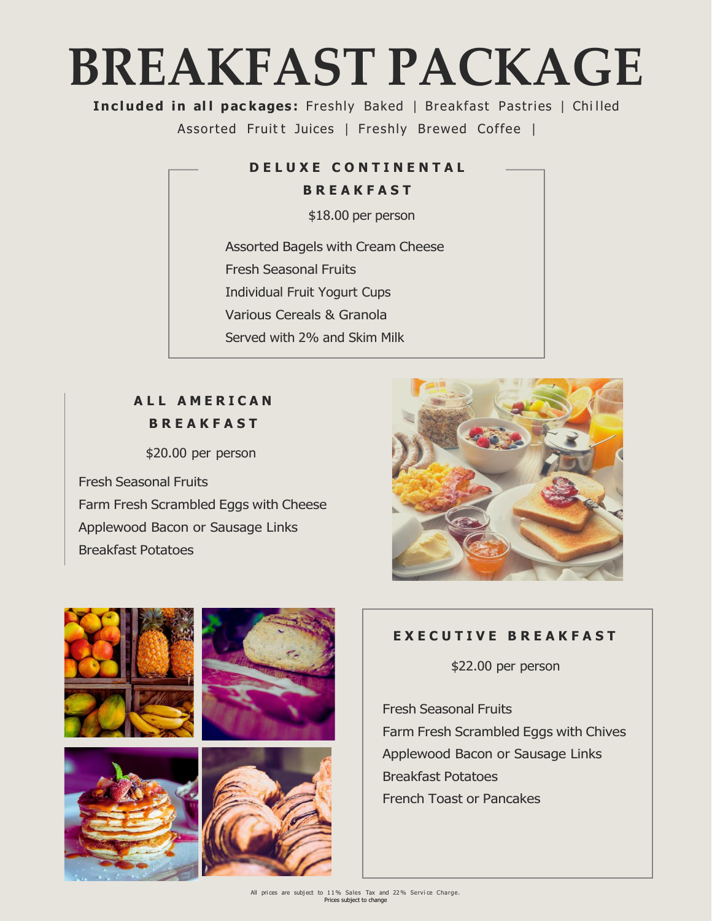## **BREAKFAST PACKAGE**

**Included in all packages:** Freshly Baked | Breakfast Pastries | Chilled Assorted Fruitt Juices | Freshly Brewed Coffee |

#### **D E L U X E C O N T I N E N T A L**

**B R E A K F A S T**

\$18.00 per person

Assorted Bagels with Cream Cheese Fresh Seasonal Fruits Individual Fruit Yogurt Cups Various Cereals & Granola Served with 2% and Skim Milk

## **A L L A M E R I C A N B R E A K F A S T**

\$20.00 per person

Fresh Seasonal Fruits Farm Fresh Scrambled Eggs with Cheese Applewood Bacon or Sausage Links Breakfast Potatoes





## **E X E C U T I V E B R E A K F A S T**

\$22.00 per person

Fresh Seasonal Fruits Farm Fresh Scrambled Eggs with Chives Applewood Bacon or Sausage Links Breakfast Potatoes French Toast or Pancakes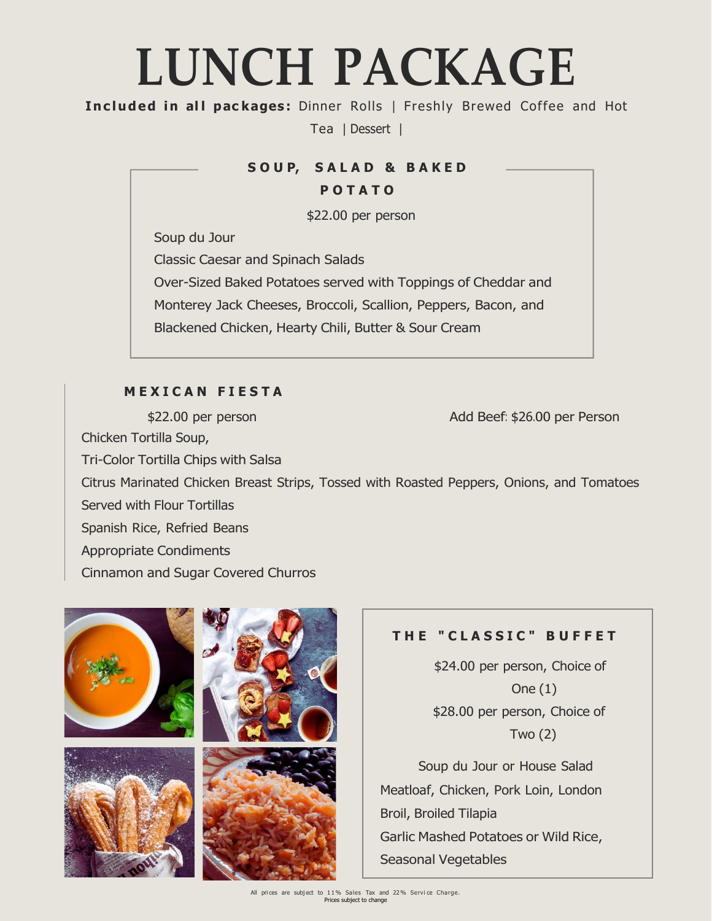## **LUNCH PACKAGE**

**Inc luded in al l pac kages :** Dinner Rolls | Freshly Brewed Coffee and Hot

Tea | Dessert |

### **S O U P, S A L A D & B A K E D**

#### **P O T A T O**

\$22.00 per person

Soup du Jour

Classic Caesar and Spinach Salads

Over-Sized Baked Potatoes served with Toppings of Cheddar and

Monterey Jack Cheeses, Broccoli, Scallion, Peppers, Bacon, and

Blackened Chicken, Hearty Chili, Butter & Sour Cream

## **M E X I C A N F I E S T A**

\$22.00 per person Chicken Tortilla Soup, Tri-Color Tortilla Chips with Salsa Add Beef: \$26.00 per Person Citrus Marinated Chicken Breast Strips, Tossed with Roasted Peppers, Onions, and Tomatoes Served with Flour Tortillas Spanish Rice, Refried Beans Appropriate Condiments Cinnamon and Sugar Covered Churros



## **T H E " C L A S S I C " B U F F E T**

\$24.00 per person, Choice of One (1) \$28.00 per person, Choice of Two (2)

Soup du Jour or House Salad Meatloaf, Chicken, Pork Loin, London Broil, Broiled Tilapia Garlic Mashed Potatoes or Wild Rice, Seasonal Vegetables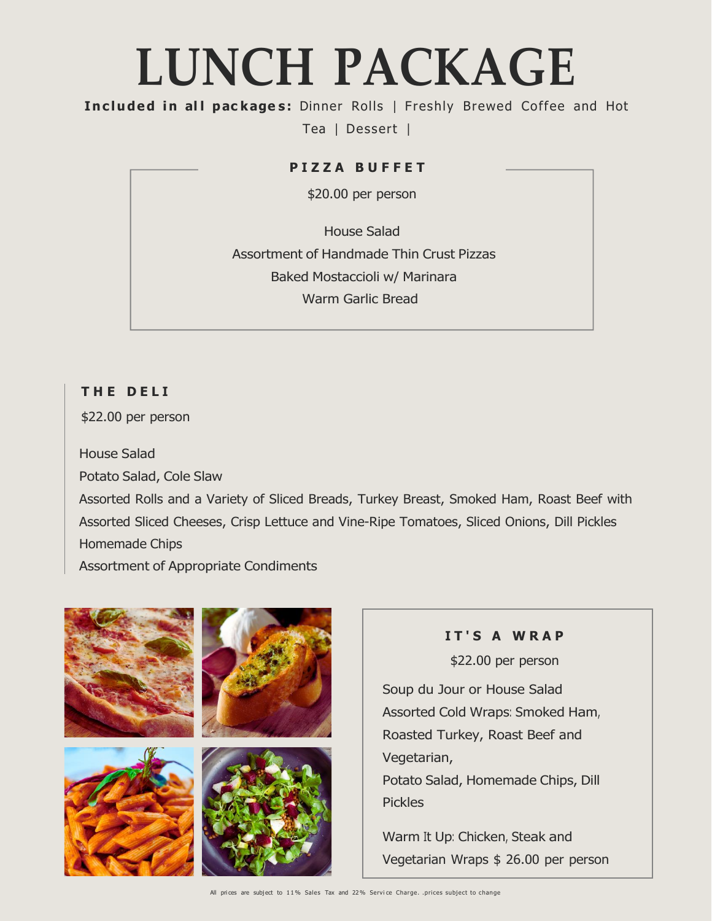## **LUNCH PACKAGE**

**Inc luded in al l pac kage s :** Dinner Rolls | Freshly Brewed Coffee and Hot

Tea | Dessert |

#### **P I Z Z A B U F F E T**

\$20.00 per person

House Salad Assortment of Handmade Thin Crust Pizzas Baked Mostaccioli w/ Marinara Warm Garlic Bread

## **T H E D E L I**

\$22.00 per person

House Salad Potato Salad, Cole Slaw Assorted Rolls and a Variety of Sliced Breads, Turkey Breast, Smoked Ham, Roast Beef with Assorted Sliced Cheeses, Crisp Lettuce and Vine-Ripe Tomatoes, Sliced Onions, Dill Pickles Homemade Chips Assortment of Appropriate Condiments



**I T ' S A W R A P** \$22.00 per person

Soup du Jour or House Salad Assorted Cold Wraps: Smoked Ham, Roasted Turkey, Roast Beef and Potato Salad, Homemade Chips, Dill

Warm It Up: Chicken, Steak and Vegetarian Wraps \$ 26.00 per person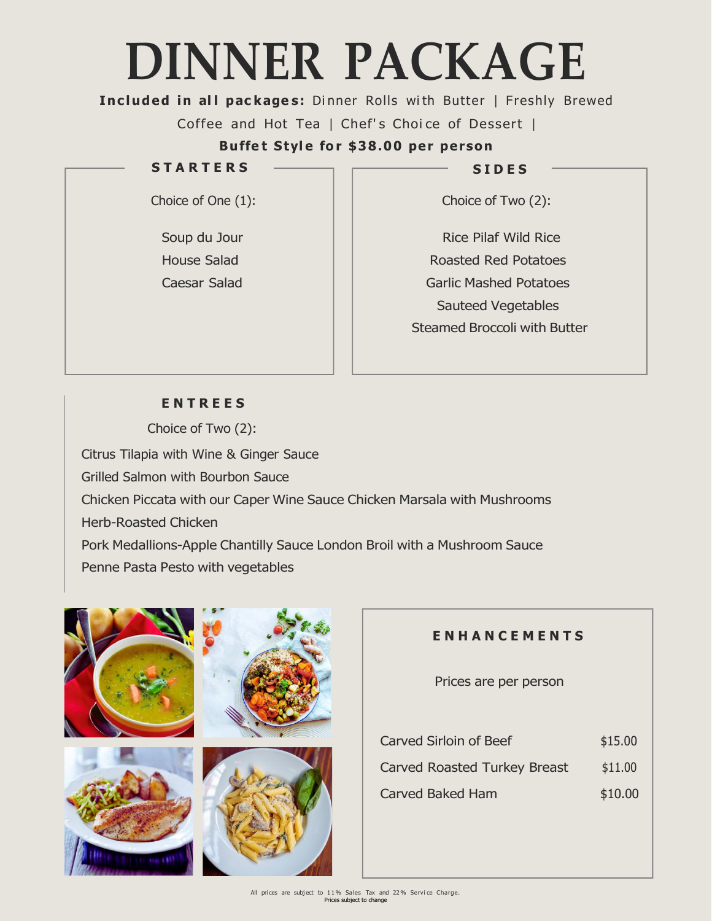# **DINNER PACKAGE**

**Included in all packages:** Dinner Rolls with Butter | Freshly Brewed

Coffee and Hot Tea | Chef's Choice of Dessert |

**Buffe t Styl e fo r \$38.00 per per son**

### **S T A R T E R S**

Choice of One (1):

Soup du Jour House Salad Caesar Salad **S I D E S**

Choice of Two (2):

Rice Pilaf Wild Rice Roasted Red Potatoes Garlic Mashed Potatoes Sauteed Vegetables Steamed Broccoli with Butter

## **E N T R E E S**

Choice of Two (2): Citrus Tilapia with Wine & Ginger Sauce Grilled Salmon with Bourbon Sauce Chicken Piccata with our Caper Wine Sauce Chicken Marsala with Mushrooms Herb-Roasted Chicken Pork Medallions-Apple Chantilly Sauce London Broil with a Mushroom Sauce Penne Pasta Pesto with vegetables



## **E N H A N C E M E N T S**

Prices are per person

| <b>Carved Sirloin of Beef</b>       | \$15.00 |
|-------------------------------------|---------|
| <b>Carved Roasted Turkey Breast</b> | \$11.00 |
| <b>Carved Baked Ham</b>             | \$10.00 |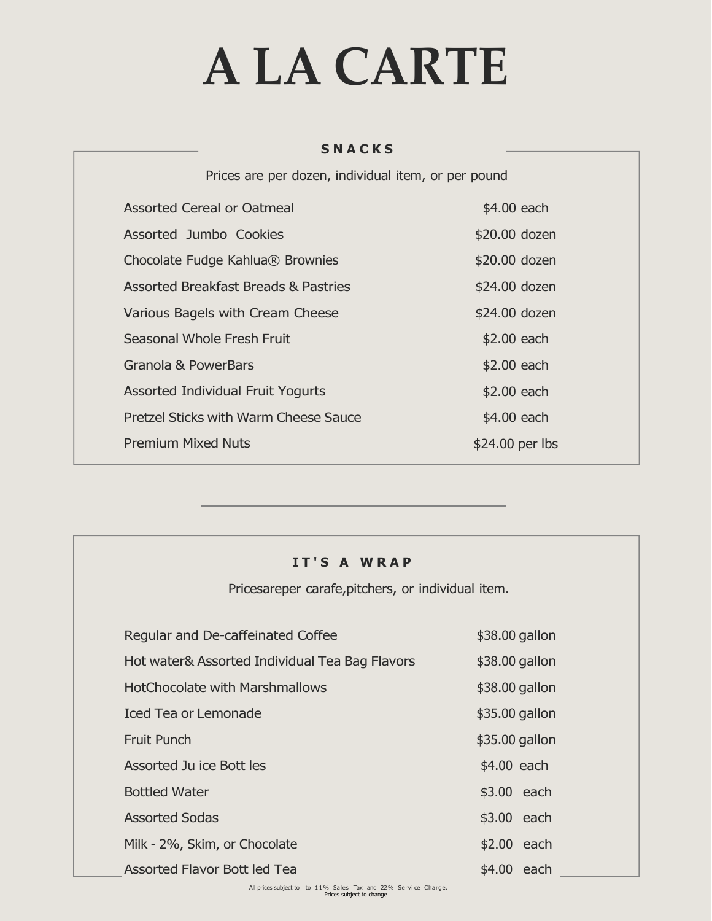# **A LA CARTE**

#### **S N A C K S**

| Prices are per dozen, individual item, or per pound |                  |  |
|-----------------------------------------------------|------------------|--|
| Assorted Cereal or Oatmeal                          | \$4.00 each      |  |
| Assorted Jumbo Cookies                              | \$20.00 dozen    |  |
| Chocolate Fudge Kahlua® Brownies                    | \$20.00 dozen    |  |
| <b>Assorted Breakfast Breads &amp; Pastries</b>     | \$24.00 dozen    |  |
| Various Bagels with Cream Cheese                    | \$24.00 dozen    |  |
| Seasonal Whole Fresh Fruit                          | \$2.00 each      |  |
| Granola & PowerBars                                 | \$2.00 each      |  |
| <b>Assorted Individual Fruit Yogurts</b>            | \$2.00 each      |  |
| Pretzel Sticks with Warm Cheese Sauce               | \$4.00 each      |  |
| <b>Premium Mixed Nuts</b>                           | $$24.00$ per lbs |  |

#### **I T ' S A W R A P**

Pricesareper carafe,pitchers, or individual item.

| Regular and De-caffeinated Coffee                                   | \$38.00 gallon |
|---------------------------------------------------------------------|----------------|
| Hot water& Assorted Individual Tea Bag Flavors                      | \$38.00 gallon |
| <b>HotChocolate with Marshmallows</b>                               | \$38.00 gallon |
| <b>Iced Tea or Lemonade</b>                                         | \$35.00 gallon |
| <b>Fruit Punch</b>                                                  | \$35.00 gallon |
| Assorted Ju ice Bott les                                            | \$4.00 each    |
| <b>Bottled Water</b>                                                | \$3.00 each    |
| <b>Assorted Sodas</b>                                               | \$3.00 each    |
| Milk - 2%, Skim, or Chocolate                                       | \$2.00 each    |
| Assorted Flavor Bott led Tea                                        | \$4.00 each    |
| All prince a principal to the 110/ Colon Tou and 220/ Course Chaves |                |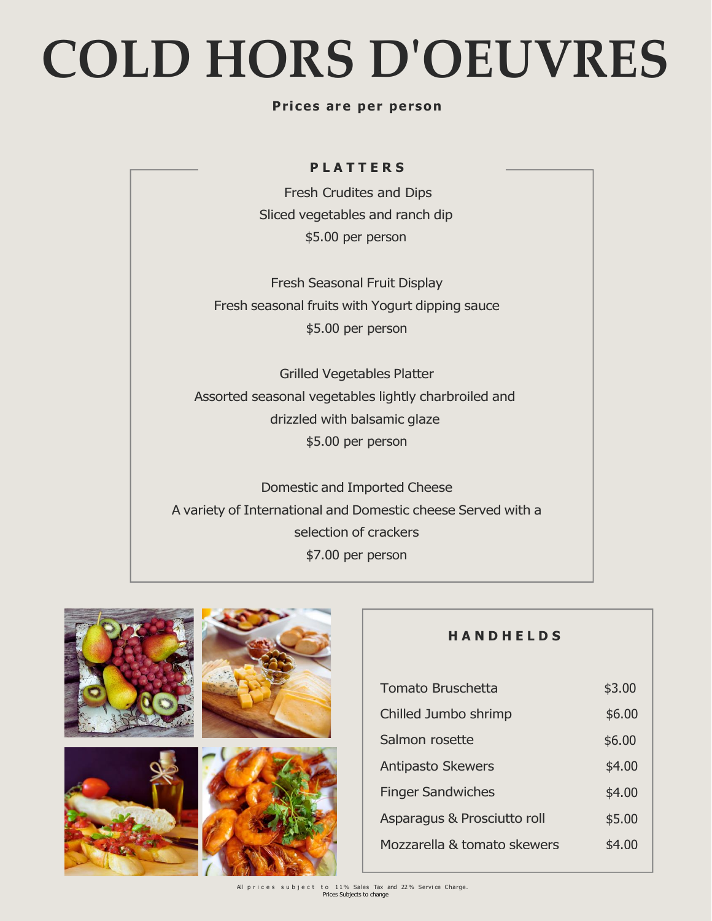# **COLD HORS D'OEUVRES**

#### **Pr i ces ar e per person**

#### **P L A T T E R S**

Fresh Crudites and Dips Sliced vegetables and ranch dip \$5.00 per person

Fresh Seasonal Fruit Display Fresh seasonal fruits with Yogurt dipping sauce \$5.00 per person

Grilled Vegetables Platter Assorted seasonal vegetables lightly charbroiled and drizzled with balsamic glaze \$5.00 per person

Domestic and Imported Cheese A variety of International and Domestic cheese Served with a selection of crackers \$7.00 per person



## **H A N D H E L D S**

| <b>Tomato Bruschetta</b>    | \$3.00 |
|-----------------------------|--------|
| Chilled Jumbo shrimp        | \$6.00 |
| Salmon rosette              | \$6.00 |
| <b>Antipasto Skewers</b>    | \$4.00 |
| <b>Finger Sandwiches</b>    | \$4.00 |
| Asparagus & Prosciutto roll | \$5.00 |
| Mozzarella & tomato skewers | \$4.00 |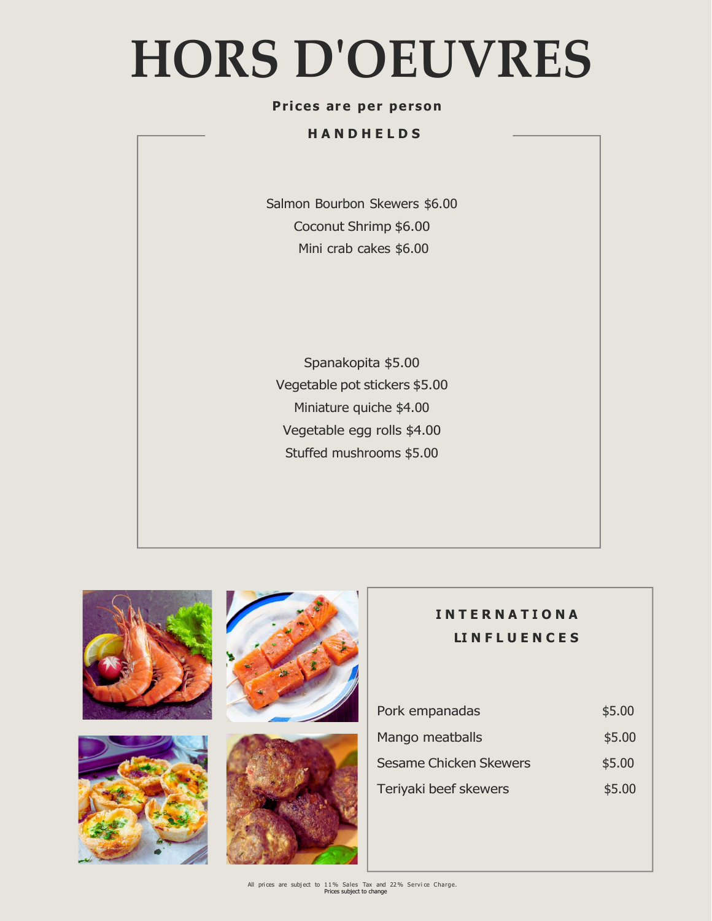# **HORS D'OEUVRES**

#### **Pr i ces ar e per person**

#### **H A N D H E L D S**

Salmon Bourbon Skewers \$6.00 Coconut Shrimp \$6.00 Mini crab cakes \$6.00

Spanakopita \$5.00 Vegetable pot stickers \$5.00 Miniature quiche \$4.00 Vegetable egg rolls \$4.00 Stuffed mushrooms \$5.00







## **I N T E R N A T I O N A LI N F L U E N C E S**

| Pork empanadas                | \$5.00 |
|-------------------------------|--------|
| Mango meatballs               | \$5.00 |
| <b>Sesame Chicken Skewers</b> | \$5.00 |
| Teriyaki beef skewers         | \$5.00 |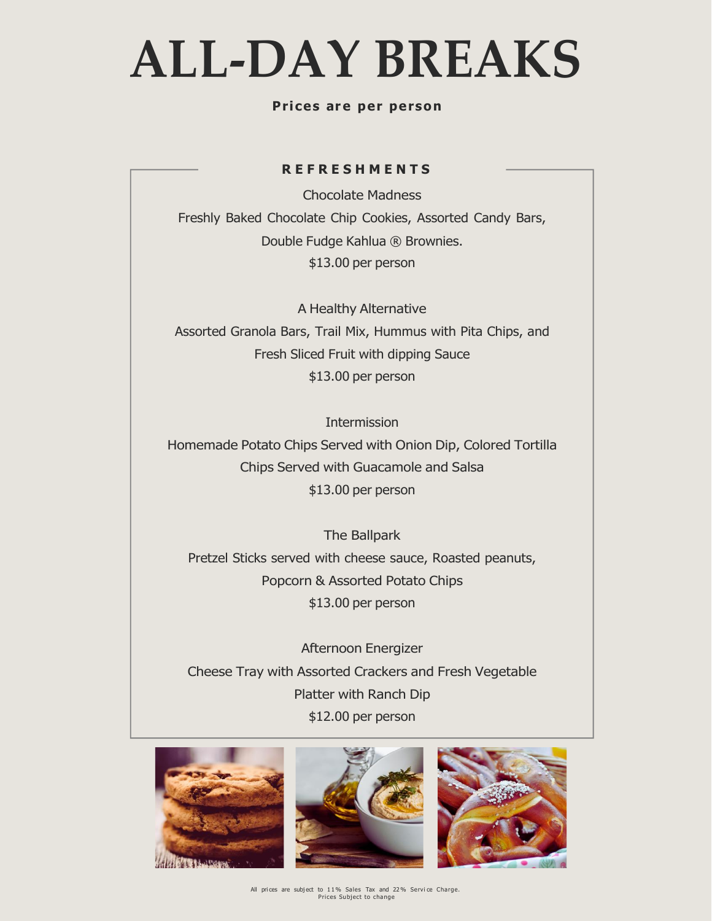## **ALL-DAY BREAKS**

#### **Pr i ces ar e per person**

#### **R E F R E S H M E N T S**

Chocolate Madness Freshly Baked Chocolate Chip Cookies, Assorted Candy Bars, Double Fudge Kahlua ® Brownies. \$13.00 per person

A Healthy Alternative Assorted Granola Bars, Trail Mix, Hummus with Pita Chips, and Fresh Sliced Fruit with dipping Sauce \$13.00 per person

Intermission Homemade Potato Chips Served with Onion Dip, Colored Tortilla Chips Served with Guacamole and Salsa \$13.00 per person

The Ballpark Pretzel Sticks served with cheese sauce, Roasted peanuts, Popcorn & Assorted Potato Chips \$13.00 per person

Afternoon Energizer Cheese Tray with Assorted Crackers and Fresh Vegetable Platter with Ranch Dip \$12.00 per person





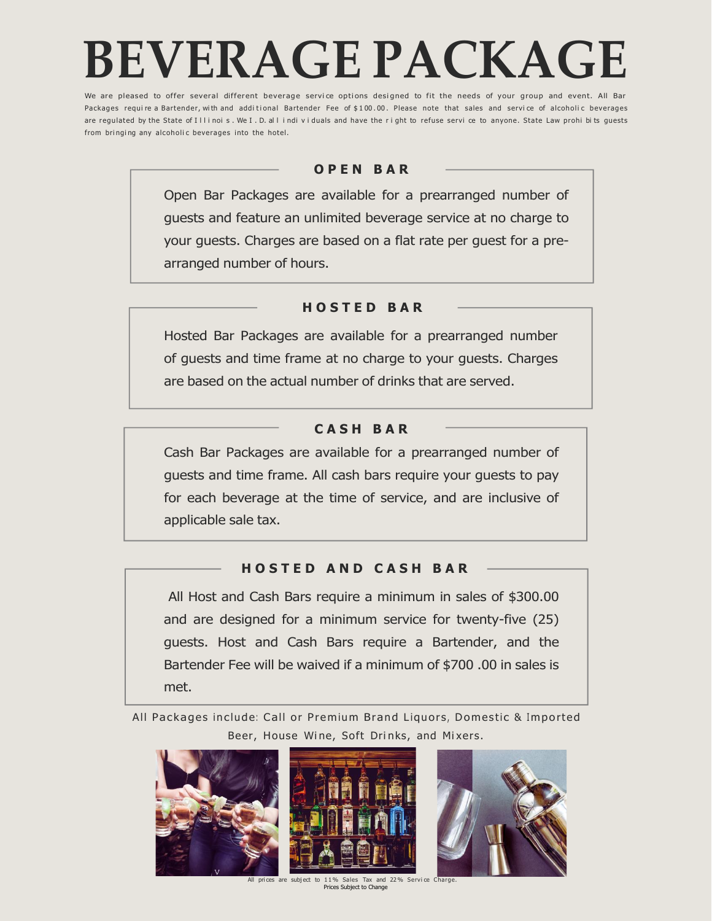## **BEVERAGE PACKAGE**

We are pleased to offer several different beverage service options designed to fit the needs of your group and event. All Bar Packages require a Bartender, with and additional Bartender Fee of \$100.00. Please note that sales and service of alcoholic beverages are regulated by the State of Illinois. We I.D. all individuals and have the right to refuse servi ce to anyone. State Law prohi bits guests from bringing any alcoholic beverages into the hotel.

#### **O P E N B A R**

Open Bar Packages are available for a prearranged number of guests and feature an unlimited beverage service at no charge to your guests. Charges are based on a flat rate per guest for a prearranged number of hours.

#### **H O S T E D B A R**

Hosted Bar Packages are available for a prearranged number of guests and time frame at no charge to your guests. Charges are based on the actual number of drinks that are served.

## **C A S H B A R**

Cash Bar Packages are available for a prearranged number of guests and time frame. All cash bars require your guests to pay for each beverage at the time of service, and are inclusive of applicable sale tax.

## **H O S T E D A N D C A S H B A R**

All Host and Cash Bars require a minimum in sales of \$300.00 and are designed for a minimum service for twenty-five (25) guests. Host and Cash Bars require a Bartender, and the Bartender Fee will be waived if a minimum of \$700 .00 in sales is met.

All Packages include: Call or Premium Brand Liquors, Domestic & Imported Beer, House Wine, Soft Drinks, and Mixers.



All prices are subject to 11% Sales Tax and 22% Service Charge. Prices Subject to Change